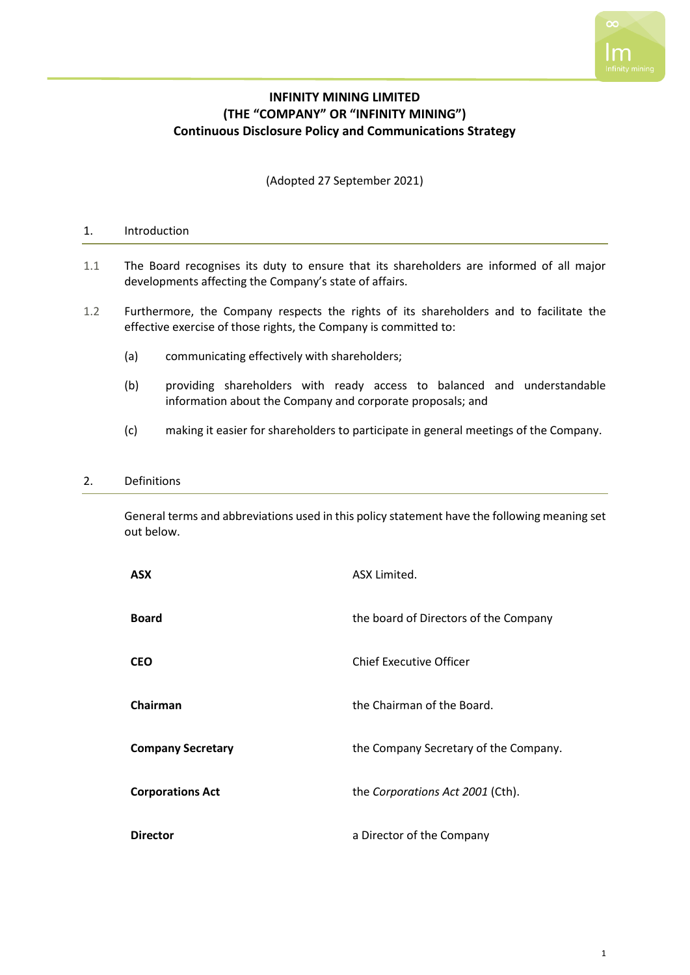

# **INFINITY MINING LIMITED (THE "COMPANY" OR "INFINITY MINING") Continuous Disclosure Policy and Communications Strategy**

(Adopted 27 September 2021)

## 1. Introduction

- 1.1 The Board recognises its duty to ensure that its shareholders are informed of all major developments affecting the Company's state of affairs.
- 1.2 Furthermore, the Company respects the rights of its shareholders and to facilitate the effective exercise of those rights, the Company is committed to:
	- (a) communicating effectively with shareholders;
	- (b) providing shareholders with ready access to balanced and understandable information about the Company and corporate proposals; and
	- (c) making it easier for shareholders to participate in general meetings of the Company.

#### 2. Definitions

General terms and abbreviations used in this policy statement have the following meaning set out below.

| <b>ASX</b>               | ASX Limited.                          |
|--------------------------|---------------------------------------|
| <b>Board</b>             | the board of Directors of the Company |
| <b>CEO</b>               | Chief Executive Officer               |
| Chairman                 | the Chairman of the Board.            |
| <b>Company Secretary</b> | the Company Secretary of the Company. |
| <b>Corporations Act</b>  | the Corporations Act 2001 (Cth).      |
| <b>Director</b>          | a Director of the Company             |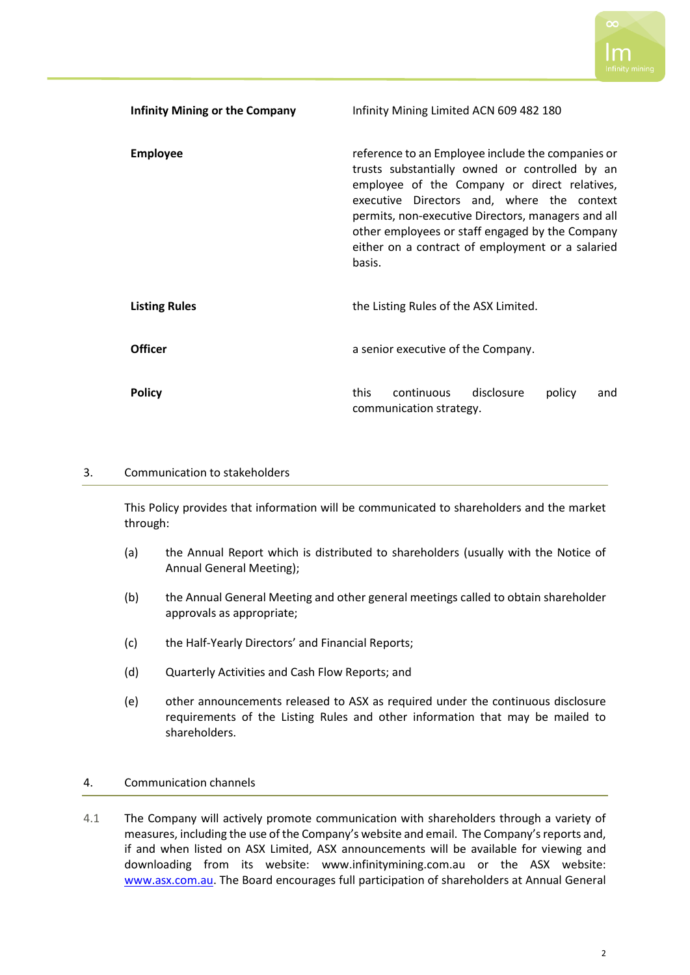

| <b>Infinity Mining or the Company</b> | Infinity Mining Limited ACN 609 482 180                                                                                                                                                                                                                                                                                                                                  |
|---------------------------------------|--------------------------------------------------------------------------------------------------------------------------------------------------------------------------------------------------------------------------------------------------------------------------------------------------------------------------------------------------------------------------|
| <b>Employee</b>                       | reference to an Employee include the companies or<br>trusts substantially owned or controlled by an<br>employee of the Company or direct relatives,<br>executive Directors and, where the context<br>permits, non-executive Directors, managers and all<br>other employees or staff engaged by the Company<br>either on a contract of employment or a salaried<br>basis. |
| <b>Listing Rules</b>                  | the Listing Rules of the ASX Limited.                                                                                                                                                                                                                                                                                                                                    |
| <b>Officer</b>                        | a senior executive of the Company.                                                                                                                                                                                                                                                                                                                                       |
| <b>Policy</b>                         | continuous<br>disclosure<br>this<br>policy<br>and<br>communication strategy.                                                                                                                                                                                                                                                                                             |

## 3. Communication to stakeholders

This Policy provides that information will be communicated to shareholders and the market through:

- (a) the Annual Report which is distributed to shareholders (usually with the Notice of Annual General Meeting);
- (b) the Annual General Meeting and other general meetings called to obtain shareholder approvals as appropriate;
- (c) the Half-Yearly Directors' and Financial Reports;
- (d) Quarterly Activities and Cash Flow Reports; and
- (e) other announcements released to ASX as required under the continuous disclosure requirements of the Listing Rules and other information that may be mailed to shareholders.

#### 4. Communication channels

4.1 The Company will actively promote communication with shareholders through a variety of measures, including the use of the Company's website and email. The Company's reports and, if and when listed on ASX Limited, ASX announcements will be available for viewing and downloading from its website: www.infinitymining.com.au or the ASX website: [www.asx.com.au.](http://www.asx.com.au/) The Board encourages full participation of shareholders at Annual General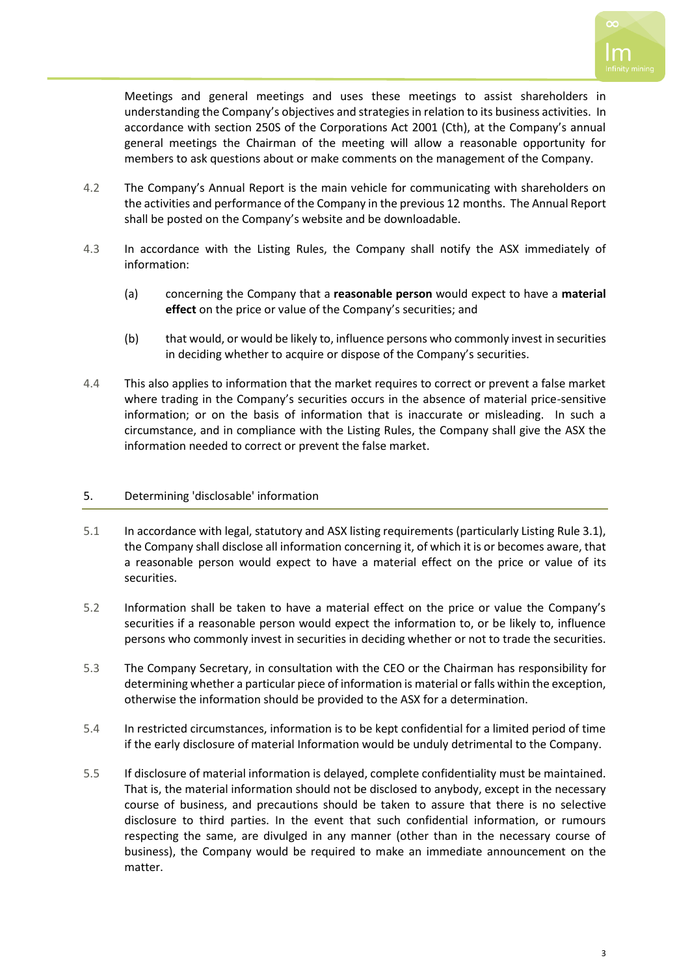

Meetings and general meetings and uses these meetings to assist shareholders in understanding the Company's objectives and strategies in relation to its business activities. In accordance with section 250S of the Corporations Act 2001 (Cth), at the Company's annual general meetings the Chairman of the meeting will allow a reasonable opportunity for members to ask questions about or make comments on the management of the Company.

- 4.2 The Company's Annual Report is the main vehicle for communicating with shareholders on the activities and performance of the Company in the previous 12 months. The Annual Report shall be posted on the Company's website and be downloadable.
- 4.3 In accordance with the Listing Rules, the Company shall notify the ASX immediately of information:
	- (a) concerning the Company that a **reasonable person** would expect to have a **material effect** on the price or value of the Company's securities; and
	- (b) that would, or would be likely to, influence persons who commonly invest in securities in deciding whether to acquire or dispose of the Company's securities.
- 4.4 This also applies to information that the market requires to correct or prevent a false market where trading in the Company's securities occurs in the absence of material price-sensitive information; or on the basis of information that is inaccurate or misleading. In such a circumstance, and in compliance with the Listing Rules, the Company shall give the ASX the information needed to correct or prevent the false market.

## 5. Determining 'disclosable' information

- 5.1 In accordance with legal, statutory and ASX listing requirements (particularly Listing Rule 3.1), the Company shall disclose all information concerning it, of which it is or becomes aware, that a reasonable person would expect to have a material effect on the price or value of its securities.
- 5.2 Information shall be taken to have a material effect on the price or value the Company's securities if a reasonable person would expect the information to, or be likely to, influence persons who commonly invest in securities in deciding whether or not to trade the securities.
- 5.3 The Company Secretary, in consultation with the CEO or the Chairman has responsibility for determining whether a particular piece of information is material or falls within the exception, otherwise the information should be provided to the ASX for a determination.
- 5.4 In restricted circumstances, information is to be kept confidential for a limited period of time if the early disclosure of material Information would be unduly detrimental to the Company.
- 5.5 If disclosure of material information is delayed, complete confidentiality must be maintained. That is, the material information should not be disclosed to anybody, except in the necessary course of business, and precautions should be taken to assure that there is no selective disclosure to third parties. In the event that such confidential information, or rumours respecting the same, are divulged in any manner (other than in the necessary course of business), the Company would be required to make an immediate announcement on the matter.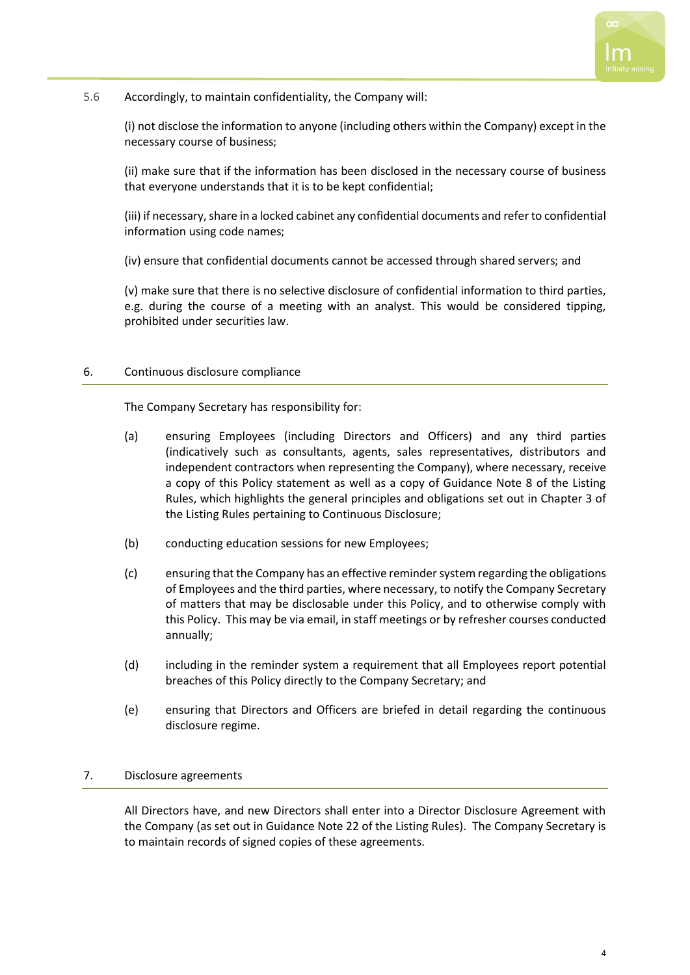

## 5.6 Accordingly, to maintain confidentiality, the Company will:

(i) not disclose the information to anyone (including others within the Company) except in the necessary course of business;

(ii) make sure that if the information has been disclosed in the necessary course of business that everyone understands that it is to be kept confidential;

(iii) if necessary, share in a locked cabinet any confidential documents and refer to confidential information using code names;

(iv) ensure that confidential documents cannot be accessed through shared servers; and

(v) make sure that there is no selective disclosure of confidential information to third parties, e.g. during the course of a meeting with an analyst. This would be considered tipping, prohibited under securities law.

#### 6. Continuous disclosure compliance

The Company Secretary has responsibility for:

- (a) ensuring Employees (including Directors and Officers) and any third parties (indicatively such as consultants, agents, sales representatives, distributors and independent contractors when representing the Company), where necessary, receive a copy of this Policy statement as well as a copy of Guidance Note 8 of the Listing Rules, which highlights the general principles and obligations set out in Chapter 3 of the Listing Rules pertaining to Continuous Disclosure;
- (b) conducting education sessions for new Employees;
- (c) ensuring that the Company has an effective reminder system regarding the obligations of Employees and the third parties, where necessary, to notify the Company Secretary of matters that may be disclosable under this Policy, and to otherwise comply with this Policy. This may be via email, in staff meetings or by refresher courses conducted annually;
- (d) including in the reminder system a requirement that all Employees report potential breaches of this Policy directly to the Company Secretary; and
- (e) ensuring that Directors and Officers are briefed in detail regarding the continuous disclosure regime.

## 7. Disclosure agreements

All Directors have, and new Directors shall enter into a Director Disclosure Agreement with the Company (as set out in Guidance Note 22 of the Listing Rules). The Company Secretary is to maintain records of signed copies of these agreements.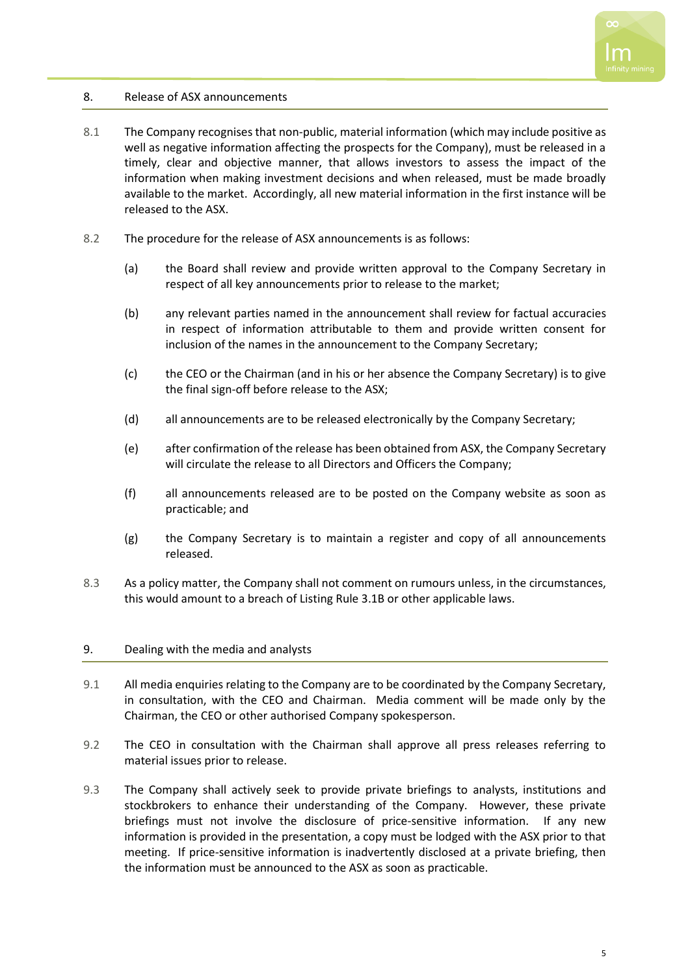

## 8. Release of ASX announcements

- 8.1 The Company recognises that non-public, material information (which may include positive as well as negative information affecting the prospects for the Company), must be released in a timely, clear and objective manner, that allows investors to assess the impact of the information when making investment decisions and when released, must be made broadly available to the market. Accordingly, all new material information in the first instance will be released to the ASX.
- 8.2 The procedure for the release of ASX announcements is as follows:
	- (a) the Board shall review and provide written approval to the Company Secretary in respect of all key announcements prior to release to the market;
	- (b) any relevant parties named in the announcement shall review for factual accuracies in respect of information attributable to them and provide written consent for inclusion of the names in the announcement to the Company Secretary;
	- (c) the CEO or the Chairman (and in his or her absence the Company Secretary) is to give the final sign-off before release to the ASX;
	- (d) all announcements are to be released electronically by the Company Secretary;
	- (e) after confirmation of the release has been obtained from ASX, the Company Secretary will circulate the release to all Directors and Officers the Company;
	- (f) all announcements released are to be posted on the Company website as soon as practicable; and
	- (g) the Company Secretary is to maintain a register and copy of all announcements released.
- 8.3 As a policy matter, the Company shall not comment on rumours unless, in the circumstances, this would amount to a breach of Listing Rule 3.1B or other applicable laws.

#### 9. Dealing with the media and analysts

- 9.1 All media enquiries relating to the Company are to be coordinated by the Company Secretary, in consultation, with the CEO and Chairman. Media comment will be made only by the Chairman, the CEO or other authorised Company spokesperson.
- 9.2 The CEO in consultation with the Chairman shall approve all press releases referring to material issues prior to release.
- 9.3 The Company shall actively seek to provide private briefings to analysts, institutions and stockbrokers to enhance their understanding of the Company. However, these private briefings must not involve the disclosure of price-sensitive information. If any new information is provided in the presentation, a copy must be lodged with the ASX prior to that meeting. If price-sensitive information is inadvertently disclosed at a private briefing, then the information must be announced to the ASX as soon as practicable.